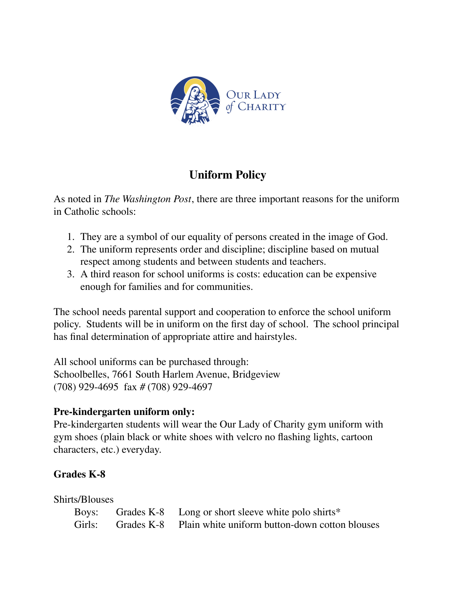

# **Uniform Policy**

As noted in *The Washington Post*, there are three important reasons for the uniform in Catholic schools:

- 1. They are a symbol of our equality of persons created in the image of God.
- 2. The uniform represents order and discipline; discipline based on mutual respect among students and between students and teachers.
- 3. A third reason for school uniforms is costs: education can be expensive enough for families and for communities.

The school needs parental support and cooperation to enforce the school uniform policy. Students will be in uniform on the first day of school. The school principal has final determination of appropriate attire and hairstyles.

All school uniforms can be purchased through: Schoolbelles, 7661 South Harlem Avenue, Bridgeview (708) 929-4695 fax # (708) 929-4697

## **Pre-kindergarten uniform only:**

Pre-kindergarten students will wear the Our Lady of Charity gym uniform with gym shoes (plain black or white shoes with velcro no flashing lights, cartoon characters, etc.) everyday.

# **Grades K-8**

| Shirts/Blouses |                                                                  |
|----------------|------------------------------------------------------------------|
|                | Boys: Grades K-8 Long or short sleeve white polo shirts*         |
|                | Girls: Grades K-8 Plain white uniform button-down cotton blouses |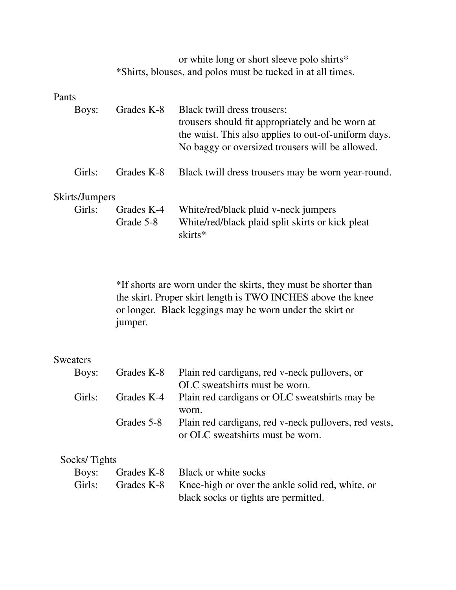or white long or short sleeve polo shirts\* \*Shirts, blouses, and polos must be tucked in at all times.

#### Pants

| Boys:          | Grades K-8 | Black twill dress trousers;<br>trousers should fit appropriately and be worn at<br>the waist. This also applies to out-of-uniform days.<br>No baggy or oversized trousers will be allowed. |
|----------------|------------|--------------------------------------------------------------------------------------------------------------------------------------------------------------------------------------------|
| Girls:         | Grades K-8 | Black twill dress trousers may be worn year-round.                                                                                                                                         |
| Skirts/Jumpers |            |                                                                                                                                                                                            |
| Girls:         | Grades K-4 | White/red/black plaid v-neck jumpers                                                                                                                                                       |
|                | Grade 5-8  | White/red/black plaid split skirts or kick pleat<br>skirts*                                                                                                                                |

\*If shorts are worn under the skirts, they must be shorter than the skirt. Proper skirt length is TWO INCHES above the knee or longer. Black leggings may be worn under the skirt or jumper.

### Sweaters

| Boys:  |            | Grades K-8 Plain red cardigans, red v-neck pullovers, or |
|--------|------------|----------------------------------------------------------|
|        |            | OLC sweatshirts must be worn.                            |
| Girls: |            | Grades K-4 Plain red cardigans or OLC sweatshirts may be |
|        |            | worn.                                                    |
|        | Grades 5-8 | Plain red cardigans, red v-neck pullovers, red vests,    |
|        |            | or OLC sweatshirts must be worn.                         |

#### Socks/ Tights

|  | Boys: Grades K-8 Black or white socks                              |
|--|--------------------------------------------------------------------|
|  | Girls: Grades K-8 Knee-high or over the ankle solid red, white, or |
|  | black socks or tights are permitted.                               |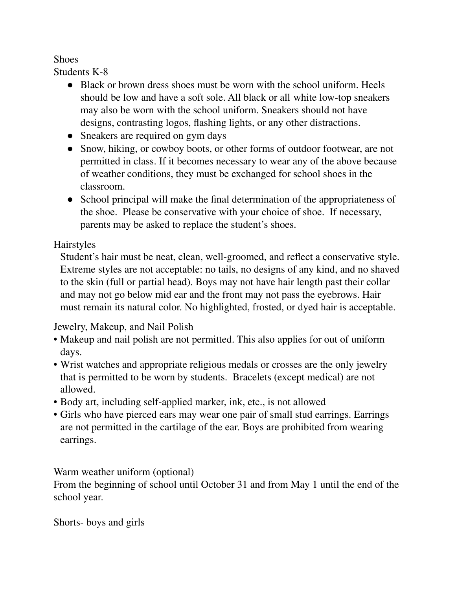### **Shoes**

Students K-8

- Black or brown dress shoes must be worn with the school uniform. Heels should be low and have a soft sole. All black or all white low-top sneakers may also be worn with the school uniform. Sneakers should not have designs, contrasting logos, flashing lights, or any other distractions.
- Sneakers are required on gym days
- Snow, hiking, or cowboy boots, or other forms of outdoor footwear, are not permitted in class. If it becomes necessary to wear any of the above because of weather conditions, they must be exchanged for school shoes in the classroom.
- School principal will make the final determination of the appropriateness of the shoe. Please be conservative with your choice of shoe. If necessary, parents may be asked to replace the student's shoes.

# Hairstyles

Student's hair must be neat, clean, well-groomed, and reflect a conservative style. Extreme styles are not acceptable: no tails, no designs of any kind, and no shaved to the skin (full or partial head). Boys may not have hair length past their collar and may not go below mid ear and the front may not pass the eyebrows. Hair must remain its natural color. No highlighted, frosted, or dyed hair is acceptable.

## Jewelry, Makeup, and Nail Polish

- Makeup and nail polish are not permitted. This also applies for out of uniform days.
- Wrist watches and appropriate religious medals or crosses are the only jewelry that is permitted to be worn by students. Bracelets (except medical) are not allowed.
- Body art, including self-applied marker, ink, etc., is not allowed
- Girls who have pierced ears may wear one pair of small stud earrings. Earrings are not permitted in the cartilage of the ear. Boys are prohibited from wearing earrings.

Warm weather uniform (optional)

From the beginning of school until October 31 and from May 1 until the end of the school year.

Shorts- boys and girls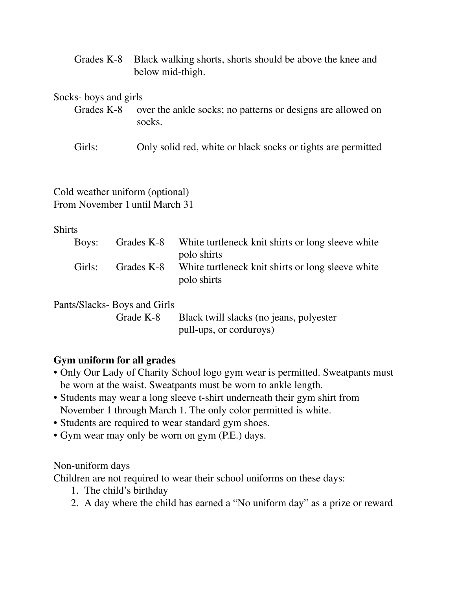Grades K-8 Black walking shorts, shorts should be above the knee and below mid-thigh.

Socks- boys and girls

- Grades K-8 over the ankle socks; no patterns or designs are allowed on socks.
- Girls: Only solid red, white or black socks or tights are permitted

#### Cold weather uniform (optional) From November 1 until March 31

#### **Shirts**

| Boys:  | Grades K-8 | White turtleneck knit shirts or long sleeve white |
|--------|------------|---------------------------------------------------|
|        |            | polo shirts                                       |
| Girls: | Grades K-8 | White turtleneck knit shirts or long sleeve white |
|        |            | polo shirts                                       |

### Pants/Slacks- Boys and Girls

Grade K-8 Black twill slacks (no jeans, polyester pull-ups, or corduroys)

### **Gym uniform for all grades**

- Only Our Lady of Charity School logo gym wear is permitted. Sweatpants must be worn at the waist. Sweatpants must be worn to ankle length.
- Students may wear a long sleeve t-shirt underneath their gym shirt from November 1 through March 1. The only color permitted is white.
- Students are required to wear standard gym shoes.
- Gym wear may only be worn on gym (P.E.) days.

### Non-uniform days

Children are not required to wear their school uniforms on these days:

- 1. The child's birthday
- 2. A day where the child has earned a "No uniform day" as a prize or reward